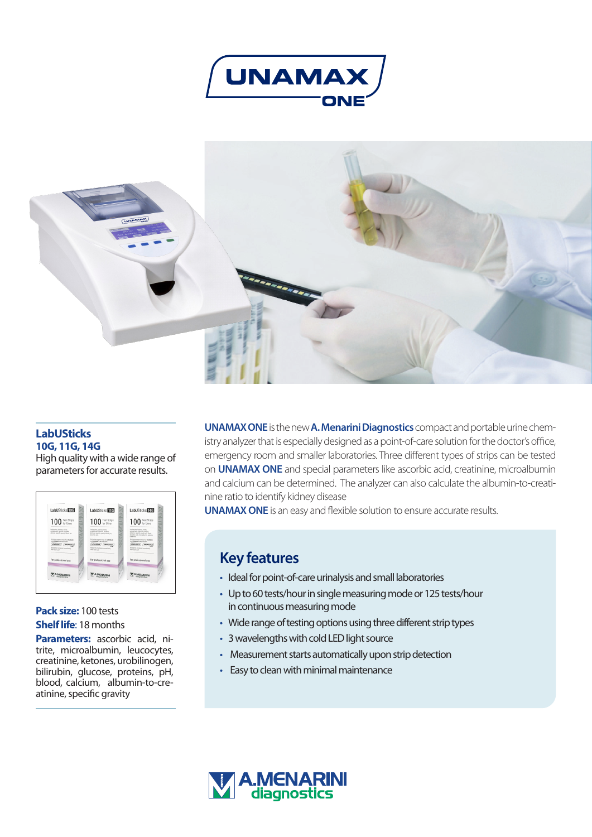



#### **LabUSticks 10G, 11G, 14G**

High quality with a wide range of parameters for accurate results.

| LabUSticks 10G<br>÷<br>œ                                                                                                | LabUSticks if G<br>÷                                                                                                                  | <b>LabUSticks</b> FAT                                                                                                                                       |
|-------------------------------------------------------------------------------------------------------------------------|---------------------------------------------------------------------------------------------------------------------------------------|-------------------------------------------------------------------------------------------------------------------------------------------------------------|
| was.<br>⊶<br><b>SHOT</b><br>100 Test Strips<br><b>COLOR</b><br>-<br>$\overline{\phantom{a}}$                            | m<br>⊶<br><b>MAG</b><br>100 Test Strips<br>m<br><b>COMPOS</b><br>÷                                                                    | 100 Test Strips                                                                                                                                             |
| <b>A MI'</b><br>Leukocytes, ketusus; ninite<br>unblinsprt, blinden, proteins,<br>plenne, specific gravity blood net     | m<br>w<br>Leukarytes, lutones, ninita.<br>ursbinsger, blinder, proteins.<br>plumas, specific growing blood, pic,<br>internetwo served | B<br>Leukopolis, lutanes, visite<br>ursblingen, blinder, gluosse.<br>proteins, specific grands, get, blood.<br>assorbe and microstumin, calcum.<br>nagicine |
| Exclusive respect strips for UNAMAR<br><b>ANCIUMAMER Cite Analysisms</b><br>UNAMAY <sup>1</sup><br><b><i>UNAMAX</i></b> | Exclusive respect strips for UNAMAR<br>and <b>UNAMAX</b> Life analytims.<br><b>UNAMAY</b><br><b><i><u>UNAMAX</u></i></b>              | Exclusive respect strips for UNAMAR<br><b>INCORAMO Cite Installers</b><br>UNAMAY <sup>1</sup><br><b><i><u>UNAMAX</u></i></b>                                |
| . .<br>Reseal the container immediately<br>after each use                                                               | . .<br>Reseal the container immediately<br>after each use                                                                             | Reseal the container immediately<br>after each use                                                                                                          |
| For professional use                                                                                                    | For professional use                                                                                                                  | For professional use                                                                                                                                        |
| diagnostics                                                                                                             | WENARINE<br>diagnostics                                                                                                               | <b>MENARINI</b><br>diagnostics                                                                                                                              |

## **Pack size:** 100 tests **Shelf life**: 18 months

**Parameters:** ascorbic acid, nitrite, microalbumin, leucocytes, creatinine, ketones, urobilinogen, bilirubin, glucose, proteins, pH, blood, calcium, albumin-to-creatinine, specific gravity

**UNAMAX ONE**is the new **A. Menarini Diagnostics** compact and portable urine chemistry analyzer that is especially designed as a point-of-care solution for the doctor's office, emergency room and smaller laboratories. Three different types of strips can be tested on **UNAMAX ONE** and special parameters like ascorbic acid, creatinine, microalbumin and calcium can be determined. The analyzer can also calculate the albumin-to-creatinine ratio to identify kidney disease

**UNAMAX ONE** is an easy and flexible solution to ensure accurate results.

# **Key features**

- Ideal for point-of-care urinalysis and small laboratories
- Up to 60 tests/hour in single measuring mode or 125 tests/hour in continuous measuring mode
- Wide range of testing options using three different strip types
- 3 wavelengths with cold LED light source
- Measurement starts automatically upon strip detection
- Easy to clean with minimal maintenance